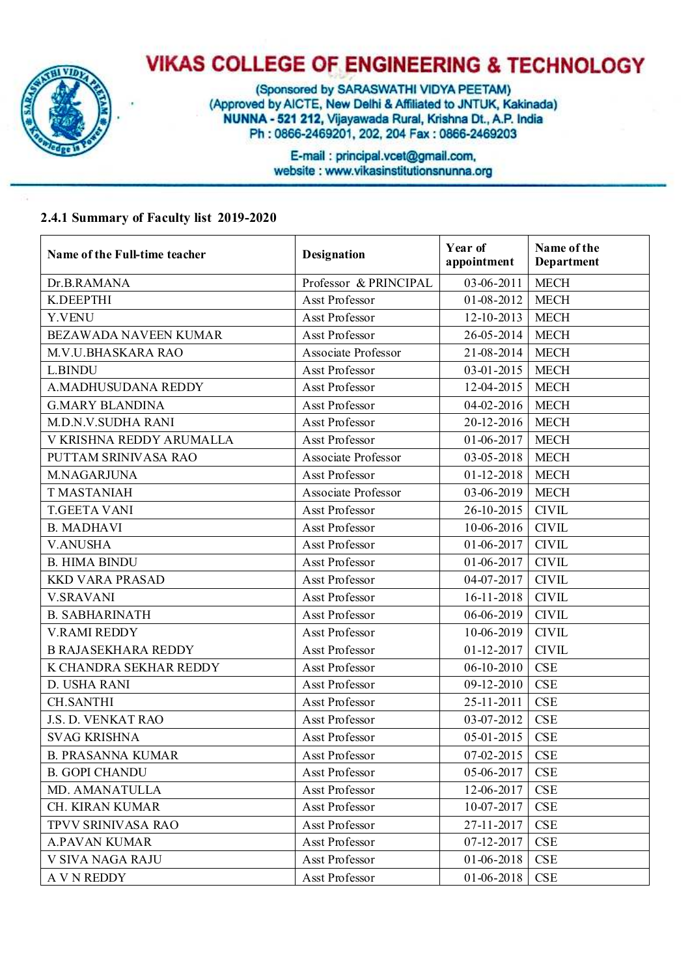

(Sponsored by SARASWATHI VIDYA PEETAM) (Approved by AICTE, New Delhi & Affiliated to JNTUK, Kakinada) NUNNA - 521 212, Vijayawada Rural, Krishna Dt., A.P. India Ph: 0866-2469201, 202, 204 Fax: 0866-2469203

> E-mail: principal.vcet@gmail.com, website: www.vikasinstitutionsnunna.org

#### **2.4.1 Summary of Faculty list 2019-2020**

| Name of the Full-time teacher | <b>Designation</b>    | Year of<br>appointment | Name of the<br>Department |
|-------------------------------|-----------------------|------------------------|---------------------------|
| Dr.B.RAMANA                   | Professor & PRINCIPAL | 03-06-2011             | <b>MECH</b>               |
| K.DEEPTHI                     | Asst Professor        | 01-08-2012             | <b>MECH</b>               |
| Y.VENU                        | Asst Professor        | 12-10-2013             | <b>MECH</b>               |
| BEZAWADA NAVEEN KUMAR         | Asst Professor        | 26-05-2014             | <b>MECH</b>               |
| M.V.U.BHASKARA RAO            | Associate Professor   | 21-08-2014             | <b>MECH</b>               |
| <b>L.BINDU</b>                | Asst Professor        | $03 - 01 - 2015$       | <b>MECH</b>               |
| A.MADHUSUDANA REDDY           | Asst Professor        | 12-04-2015             | <b>MECH</b>               |
| <b>G.MARY BLANDINA</b>        | Asst Professor        | 04-02-2016             | <b>MECH</b>               |
| M.D.N.V.SUDHA RANI            | Asst Professor        | 20-12-2016             | <b>MECH</b>               |
| V KRISHNA REDDY ARUMALLA      | Asst Professor        | 01-06-2017             | <b>MECH</b>               |
| PUTTAM SRINIVASA RAO          | Associate Professor   | 03-05-2018             | <b>MECH</b>               |
| M.NAGARJUNA                   | Asst Professor        | $01 - 12 - 2018$       | <b>MECH</b>               |
| <b>T MASTANIAH</b>            | Associate Professor   | 03-06-2019             | <b>MECH</b>               |
| <b>T.GEETA VANI</b>           | Asst Professor        | 26-10-2015             | <b>CIVIL</b>              |
| <b>B. MADHAVI</b>             | Asst Professor        | 10-06-2016             | <b>CIVIL</b>              |
| <b>V.ANUSHA</b>               | Asst Professor        | 01-06-2017             | <b>CIVIL</b>              |
| <b>B. HIMA BINDU</b>          | Asst Professor        | 01-06-2017             | <b>CIVIL</b>              |
| <b>KKD VARA PRASAD</b>        | Asst Professor        | 04-07-2017             | <b>CIVIL</b>              |
| <b>V.SRAVANI</b>              | Asst Professor        | 16-11-2018             | <b>CIVIL</b>              |
| <b>B. SABHARINATH</b>         | <b>Asst Professor</b> | 06-06-2019             | <b>CIVIL</b>              |
| <b>V.RAMI REDDY</b>           | Asst Professor        | 10-06-2019             | <b>CIVIL</b>              |
| <b>B RAJASEKHARA REDDY</b>    | Asst Professor        | $01 - 12 - 2017$       | <b>CIVIL</b>              |
| K CHANDRA SEKHAR REDDY        | Asst Professor        | $06-10-2010$           | <b>CSE</b>                |
| D. USHA RANI                  | Asst Professor        | 09-12-2010             | <b>CSE</b>                |
| <b>CH.SANTHI</b>              | Asst Professor        | 25-11-2011             | <b>CSE</b>                |
| J.S. D. VENKAT RAO            | Asst Professor        | 03-07-2012             | <b>CSE</b>                |
| <b>SVAG KRISHNA</b>           | Asst Professor        | 05-01-2015             | <b>CSE</b>                |
| <b>B. PRASANNA KUMAR</b>      | Asst Professor        | $07 - 02 - 2015$       | <b>CSE</b>                |
| <b>B. GOPI CHANDU</b>         | Asst Professor        | 05-06-2017             | <b>CSE</b>                |
| MD. AMANATULLA                | Asst Professor        | 12-06-2017             | CSE                       |
| CH. KIRAN KUMAR               | Asst Professor        | 10-07-2017             | CSE                       |
| <b>TPVV SRINIVASA RAO</b>     | Asst Professor        | 27-11-2017             | CSE                       |
| <b>A.PAVAN KUMAR</b>          | Asst Professor        | 07-12-2017             | CSE                       |
| V SIVA NAGA RAJU              | Asst Professor        | 01-06-2018             | CSE                       |
| <b>A V N REDDY</b>            | Asst Professor        | 01-06-2018             | CSE                       |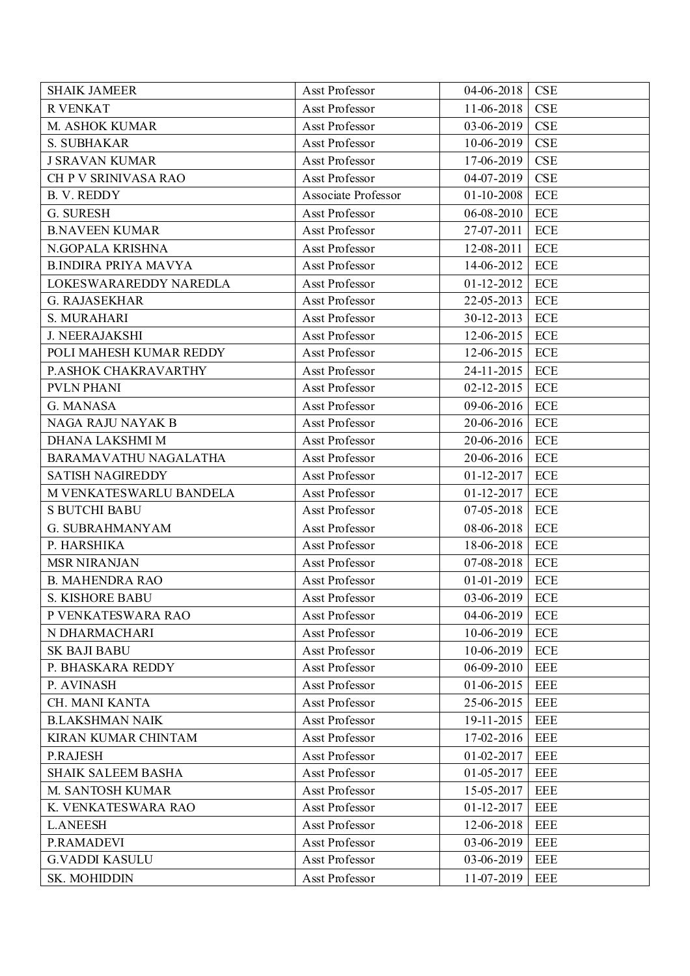| <b>SHAIK JAMEER</b>         | Asst Professor      | 04-06-2018       | <b>CSE</b>                |
|-----------------------------|---------------------|------------------|---------------------------|
| <b>R VENKAT</b>             | Asst Professor      | 11-06-2018       | <b>CSE</b>                |
| M. ASHOK KUMAR              | Asst Professor      | 03-06-2019       | <b>CSE</b>                |
| S. SUBHAKAR                 | Asst Professor      | $10-06-2019$     | <b>CSE</b>                |
| <b>J SRAVAN KUMAR</b>       | Asst Professor      | 17-06-2019       | <b>CSE</b>                |
| CH P V SRINIVASA RAO        | Asst Professor      | 04-07-2019       | CSE                       |
| <b>B. V. REDDY</b>          | Associate Professor | 01-10-2008       | <b>ECE</b>                |
| G. SURESH                   | Asst Professor      | $06 - 08 - 2010$ | ECE                       |
| <b>B.NAVEEN KUMAR</b>       | Asst Professor      | 27-07-2011       | $\ensuremath{\text{ECE}}$ |
| N.GOPALA KRISHNA            | Asst Professor      | 12-08-2011       | ECE                       |
| <b>B.INDIRA PRIYA MAVYA</b> | Asst Professor      | 14-06-2012       | ECE                       |
| LOKESWARAREDDY NAREDLA      | Asst Professor      | $01-12-2012$     | ECE                       |
| <b>G. RAJASEKHAR</b>        | Asst Professor      | 22-05-2013       | ECE                       |
| S. MURAHARI                 | Asst Professor      | 30-12-2013       | ECE                       |
| <b>J. NEERAJAKSHI</b>       | Asst Professor      | 12-06-2015       | ECE                       |
| POLI MAHESH KUMAR REDDY     | Asst Professor      | 12-06-2015       | ECE                       |
| P.ASHOK CHAKRAVARTHY        | Asst Professor      | 24-11-2015       | ECE                       |
| <b>PVLN PHANI</b>           | Asst Professor      | $02 - 12 - 2015$ | ECE                       |
| G. MANASA                   | Asst Professor      | 09-06-2016       | ECE                       |
| NAGA RAJU NAYAK B           | Asst Professor      | 20-06-2016       | ECE                       |
| DHANA LAKSHMI M             | Asst Professor      | 20-06-2016       | ECE                       |
| BARAMAVATHU NAGALATHA       | Asst Professor      | 20-06-2016       | ECE                       |
| <b>SATISH NAGIREDDY</b>     | Asst Professor      | 01-12-2017       | ECE                       |
| M VENKATESWARLU BANDELA     | Asst Professor      | $01 - 12 - 2017$ | ECE                       |
| <b>S BUTCHI BABU</b>        | Asst Professor      | $07 - 05 - 2018$ | ECE                       |
| <b>G. SUBRAHMANYAM</b>      | Asst Professor      | 08-06-2018       | ECE                       |
| P. HARSHIKA                 | Asst Professor      | 18-06-2018       | ECE                       |
| <b>MSR NIRANJAN</b>         | Asst Professor      | 07-08-2018       | ECE                       |
| <b>B. MAHENDRA RAO</b>      | Asst Professor      | $01 - 01 - 2019$ | ECE                       |
| <b>S. KISHORE BABU</b>      | Asst Professor      | 03-06-2019       | <b>ECE</b>                |
| P VENKATESWARA RAO          | Asst Professor      | 04-06-2019       | ECE                       |
| N DHARMACHARI               | Asst Professor      | 10-06-2019       | ECE                       |
| <b>SK BAJI BABU</b>         | Asst Professor      | 10-06-2019       | ECE                       |
| P. BHASKARA REDDY           | Asst Professor      | $06-09-2010$     | <b>EEE</b>                |
| P. AVINASH                  | Asst Professor      | $01-06-2015$     | <b>EEE</b>                |
| CH. MANI KANTA              | Asst Professor      | 25-06-2015       | <b>EEE</b>                |
| <b>B.LAKSHMAN NAIK</b>      | Asst Professor      | 19-11-2015       | <b>EEE</b>                |
| KIRAN KUMAR CHINTAM         | Asst Professor      | 17-02-2016       | <b>EEE</b>                |
| P.RAJESH                    | Asst Professor      | $01 - 02 - 2017$ | <b>EEE</b>                |
| <b>SHAIK SALEEM BASHA</b>   | Asst Professor      | 01-05-2017       | <b>EEE</b>                |
| M. SANTOSH KUMAR            | Asst Professor      | 15-05-2017       | <b>EEE</b>                |
| K. VENKATESWARA RAO         | Asst Professor      | $01 - 12 - 2017$ | <b>EEE</b>                |
| <b>L.ANEESH</b>             | Asst Professor      | 12-06-2018       | <b>EEE</b>                |
| P.RAMADEVI                  | Asst Professor      | 03-06-2019       | <b>EEE</b>                |
| <b>G.VADDI KASULU</b>       | Asst Professor      | 03-06-2019       | <b>EEE</b>                |
| SK. MOHIDDIN                | Asst Professor      | 11-07-2019       | <b>EEE</b>                |
|                             |                     |                  |                           |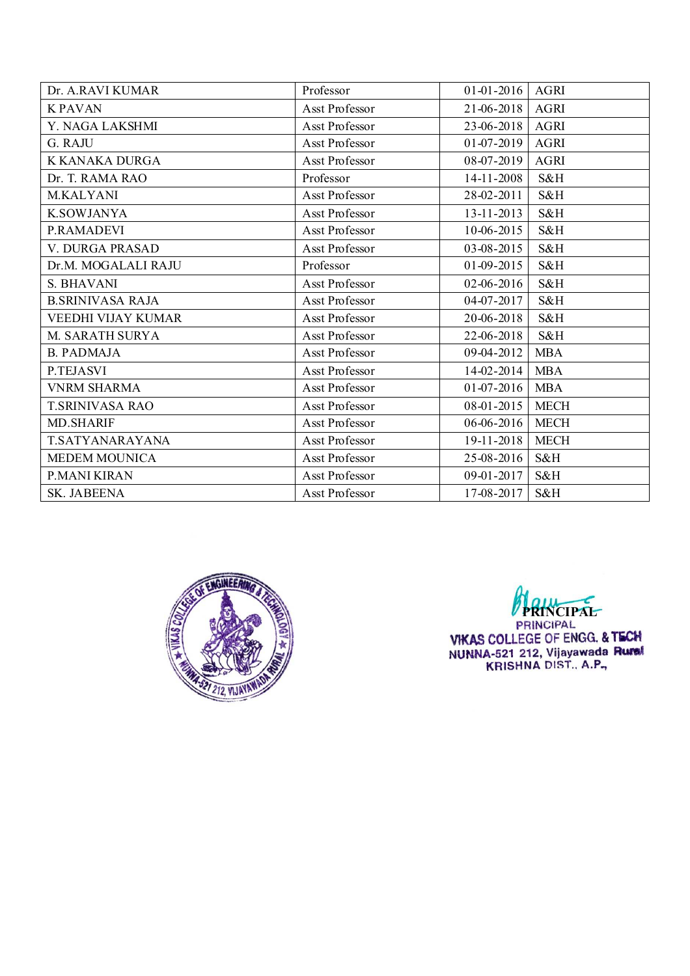| Dr. A.RAVI KUMAR        | Professor      | $01-01-2016$ AGRI |             |
|-------------------------|----------------|-------------------|-------------|
| <b>K PAVAN</b>          | Asst Professor | 21-06-2018        | AGRI        |
| Y. NAGA LAKSHMI         | Asst Professor | 23-06-2018        | <b>AGRI</b> |
| G. RAJU                 | Asst Professor | $01-07-2019$      | <b>AGRI</b> |
| K KANAKA DURGA          | Asst Professor | 08-07-2019        | <b>AGRI</b> |
| Dr. T. RAMA RAO         | Professor      | 14-11-2008        | S&H         |
| M.KALYANI               | Asst Professor | 28-02-2011        | S&H         |
| <b>K.SOWJANYA</b>       | Asst Professor | $13 - 11 - 2013$  | S&H         |
| P.RAMADEVI              | Asst Professor | $10-06-2015$      | S&H         |
| V. DURGA PRASAD         | Asst Professor | 03-08-2015        | S&H         |
| Dr.M. MOGALALI RAJU     | Professor      | 01-09-2015        | S&H         |
| S. BHAVANI              | Asst Professor | 02-06-2016        | S&H         |
| <b>B.SRINIVASA RAJA</b> | Asst Professor | 04-07-2017        | S&H         |
| VEEDHI VIJAY KUMAR      | Asst Professor | 20-06-2018        | S&H         |
| M. SARATH SURYA         | Asst Professor | 22-06-2018        | S&H         |
| <b>B. PADMAJA</b>       | Asst Professor | 09-04-2012        | <b>MBA</b>  |
| P.TEJASVI               | Asst Professor | 14-02-2014        | <b>MBA</b>  |
| <b>VNRM SHARMA</b>      | Asst Professor | $01-07-2016$      | <b>MBA</b>  |
| <b>T.SRINIVASA RAO</b>  | Asst Professor | 08-01-2015        | <b>MECH</b> |
| <b>MD.SHARIF</b>        | Asst Professor | $06-06-2016$      | <b>MECH</b> |
| T.SATYANARAYANA         | Asst Professor | 19-11-2018        | <b>MECH</b> |
| <b>MEDEM MOUNICA</b>    | Asst Professor | 25-08-2016        | S&H         |
| P.MANI KIRAN            | Asst Professor | 09-01-2017        | S&H         |
| <b>SK. JABEENA</b>      | Asst Professor | 17-08-2017        | S&H         |



**PRINCIPAL**<br>PRINCIPAL<br>VIKAS COLLEGE OF ENGG. & TECH<br>NUNNA-521 212, Vijayawada Rumal<br>KRISHNA DIST., A.P.,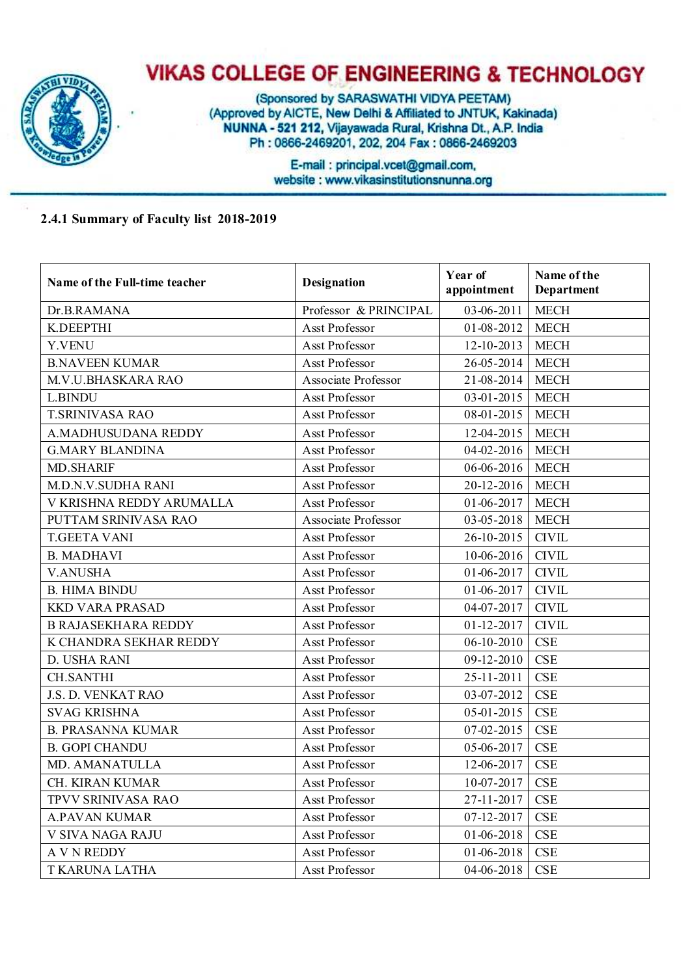

(Sponsored by SARASWATHI VIDYA PEETAM) (Approved by AICTE, New Delhi & Affiliated to JNTUK, Kakinada) NUNNA - 521 212, Vijayawada Rural, Krishna Dt., A.P. India Ph: 0866-2469201, 202, 204 Fax: 0866-2469203

> E-mail: principal.vcet@gmail.com, website: www.vikasinstitutionsnunna.org

#### **2.4.1 Summary of Faculty list 2018-2019**

| Name of the Full-time teacher | <b>Designation</b>    | Year of<br>appointment | Name of the<br>Department |
|-------------------------------|-----------------------|------------------------|---------------------------|
| Dr.B.RAMANA                   | Professor & PRINCIPAL | 03-06-2011             | <b>MECH</b>               |
| K.DEEPTHI                     | Asst Professor        | 01-08-2012             | <b>MECH</b>               |
| Y.VENU                        | Asst Professor        | 12-10-2013             | <b>MECH</b>               |
| <b>B.NAVEEN KUMAR</b>         | Asst Professor        | 26-05-2014             | <b>MECH</b>               |
| M.V.U.BHASKARA RAO            | Associate Professor   | 21-08-2014             | <b>MECH</b>               |
| L.BINDU                       | Asst Professor        | 03-01-2015             | <b>MECH</b>               |
| <b>T.SRINIVASA RAO</b>        | Asst Professor        | 08-01-2015             | <b>MECH</b>               |
| A.MADHUSUDANA REDDY           | Asst Professor        | 12-04-2015             | <b>MECH</b>               |
| <b>G.MARY BLANDINA</b>        | Asst Professor        | 04-02-2016             | <b>MECH</b>               |
| <b>MD.SHARIF</b>              | Asst Professor        | 06-06-2016             | <b>MECH</b>               |
| <b>M.D.N.V.SUDHA RANI</b>     | Asst Professor        | 20-12-2016             | <b>MECH</b>               |
| V KRISHNA REDDY ARUMALLA      | <b>Asst Professor</b> | 01-06-2017             | <b>MECH</b>               |
| PUTTAM SRINIVASA RAO          | Associate Professor   | 03-05-2018             | <b>MECH</b>               |
| <b>T.GEETA VANI</b>           | Asst Professor        | 26-10-2015             | <b>CIVIL</b>              |
| <b>B. MADHAVI</b>             | Asst Professor        | $10-06-2016$           | <b>CIVIL</b>              |
| <b>V.ANUSHA</b>               | Asst Professor        | 01-06-2017             | <b>CIVIL</b>              |
| <b>B. HIMA BINDU</b>          | Asst Professor        | 01-06-2017             | <b>CIVIL</b>              |
| <b>KKD VARA PRASAD</b>        | <b>Asst Professor</b> | 04-07-2017             | <b>CIVIL</b>              |
| <b>B RAJASEKHARA REDDY</b>    | Asst Professor        | 01-12-2017             | <b>CIVIL</b>              |
| K CHANDRA SEKHAR REDDY        | Asst Professor        | $06 - 10 - 2010$       | <b>CSE</b>                |
| D. USHA RANI                  | Asst Professor        | 09-12-2010             | <b>CSE</b>                |
| <b>CH.SANTHI</b>              | Asst Professor        | 25-11-2011             | <b>CSE</b>                |
| J.S. D. VENKAT RAO            | Asst Professor        | 03-07-2012             | <b>CSE</b>                |
| <b>SVAG KRISHNA</b>           | Asst Professor        | 05-01-2015             | <b>CSE</b>                |
| <b>B. PRASANNA KUMAR</b>      | Asst Professor        | 07-02-2015             | CSE                       |
| <b>B. GOPI CHANDU</b>         | Asst Professor        | 05-06-2017             | <b>CSE</b>                |
| MD. AMANATULLA                | Asst Professor        | 12-06-2017             | <b>CSE</b>                |
| CH. KIRAN KUMAR               | Asst Professor        | $10-07-2017$           | <b>CSE</b>                |
| TPVV SRINIVASA RAO            | Asst Professor        | 27-11-2017             | <b>CSE</b>                |
| <b>A.PAVAN KUMAR</b>          | Asst Professor        | 07-12-2017             | <b>CSE</b>                |
| V SIVA NAGA RAJU              | Asst Professor        | 01-06-2018             | CSE                       |
| <b>A V N REDDY</b>            | Asst Professor        | 01-06-2018             | <b>CSE</b>                |
| T KARUNA LATHA                | Asst Professor        | 04-06-2018             | <b>CSE</b>                |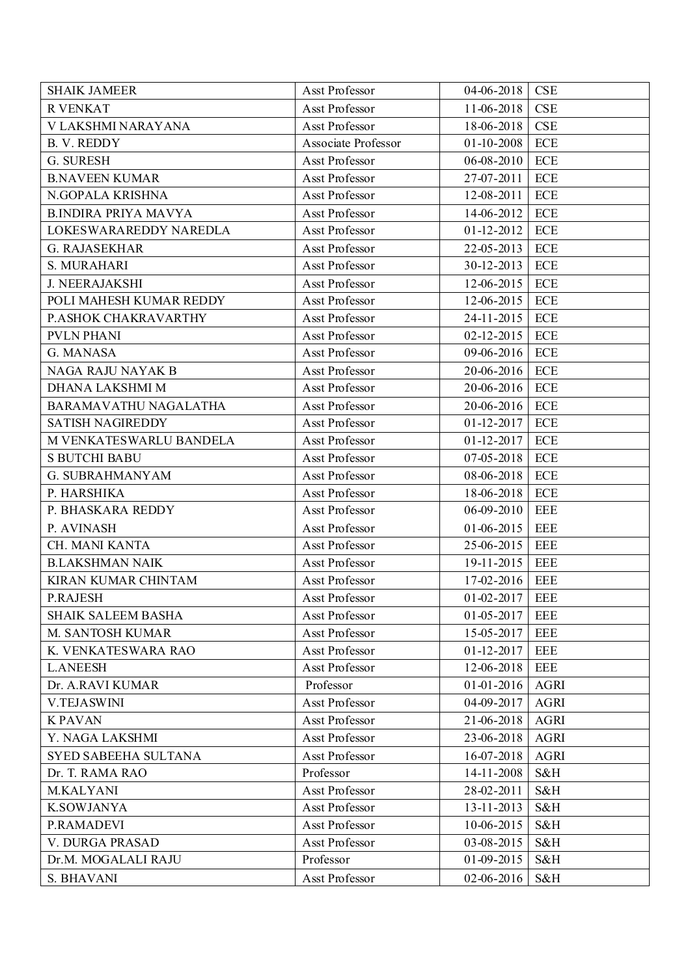| <b>CSE</b><br>11-06-2018<br><b>R VENKAT</b><br>Asst Professor<br><b>CSE</b><br>V LAKSHMI NARAYANA<br>Asst Professor<br>18-06-2018<br><b>B. V. REDDY</b><br>Associate Professor<br>$01 - 10 - 2008$<br><b>ECE</b><br>ECE<br>G. SURESH<br>Asst Professor<br>$06 - 08 - 2010$<br>ECE<br><b>B.NAVEEN KUMAR</b><br>Asst Professor<br>27-07-2011<br>N.GOPALA KRISHNA<br>12-08-2011<br><b>ECE</b><br>Asst Professor<br><b>B.INDIRA PRIYA MAVYA</b><br>14-06-2012<br>ECE<br>Asst Professor<br>ECE<br>LOKESWARAREDDY NAREDLA<br>Asst Professor<br>$01-12-2012$<br>ECE<br>Asst Professor<br>22-05-2013<br><b>G. RAJASEKHAR</b><br>S. MURAHARI<br>Asst Professor<br>30-12-2013<br>ECE<br><b>J. NEERAJAKSHI</b><br>12-06-2015<br>ECE<br>Asst Professor<br>POLI MAHESH KUMAR REDDY<br>Asst Professor<br>12-06-2015<br>ECE<br>ECE<br>P.ASHOK CHAKRAVARTHY<br>Asst Professor<br>24-11-2015<br><b>PVLN PHANI</b><br>Asst Professor<br>$02 - 12 - 2015$<br>ECE<br>09-06-2016<br>ECE<br>G. MANASA<br>Asst Professor<br>NAGA RAJU NAYAK B<br>Asst Professor<br>20-06-2016<br>ECE<br>DHANA LAKSHMI M<br>20-06-2016<br><b>ECE</b><br>Asst Professor<br>BARAMAVATHU NAGALATHA<br>Asst Professor<br>20-06-2016<br>ECE<br><b>SATISH NAGIREDDY</b><br>ECE<br>Asst Professor<br>$01 - 12 - 2017$<br>M VENKATESWARLU BANDELA<br>Asst Professor<br>$01 - 12 - 2017$<br>ECE<br><b>ECE</b><br>Asst Professor<br>$07 - 05 - 2018$<br><b>S BUTCHI BABU</b><br><b>G. SUBRAHMANYAM</b><br>Asst Professor<br>08-06-2018<br>ECE<br>P. HARSHIKA<br><b>ECE</b><br>Asst Professor<br>18-06-2018<br>P. BHASKARA REDDY<br>Asst Professor<br>$06-09-2010$<br><b>EEE</b><br>$01-06-2015$<br><b>EEE</b><br>P. AVINASH<br>Asst Professor<br>CH. MANI KANTA<br>Asst Professor<br>25-06-2015<br>EEE<br><b>B.LAKSHMAN NAIK</b><br>19-11-2015<br>Asst Professor<br>EEE<br>KIRAN KUMAR CHINTAM<br>Asst Professor<br>17-02-2016<br>EEE<br>$01 - 02 - 2017$<br><b>EEE</b><br><b>P.RAJESH</b><br>Asst Professor<br>$01 - 05 - 2017$<br><b>SHAIK SALEEM BASHA</b><br>Asst Professor<br>EEE<br>M. SANTOSH KUMAR<br>Asst Professor<br>15-05-2017<br><b>EEE</b><br>K. VENKATESWARA RAO<br>Asst Professor<br>$01 - 12 - 2017$<br><b>EEE</b><br><b>L.ANEESH</b><br>Asst Professor<br>12-06-2018<br>EEE<br>Dr. A.RAVI KUMAR<br>Professor<br><b>AGRI</b><br>$01-01-2016$<br><b>V.TEJASWINI</b><br>Asst Professor<br>04-09-2017<br><b>AGRI</b><br><b>KPAVAN</b><br>Asst Professor<br>21-06-2018<br><b>AGRI</b><br>Y. NAGA LAKSHMI<br>Asst Professor<br>23-06-2018<br><b>AGRI</b><br><b>AGRI</b><br>SYED SABEEHA SULTANA<br>Asst Professor<br>16-07-2018<br>14-11-2008<br>Dr. T. RAMA RAO<br>Professor<br>S&H<br>M.KALYANI<br>Asst Professor<br>28-02-2011<br>S&H<br><b>K.SOWJANYA</b><br>13-11-2013<br>S&H<br>Asst Professor<br>Asst Professor<br>10-06-2015<br>S&H<br>P.RAMADEVI<br>Asst Professor<br>V. DURGA PRASAD<br>03-08-2015<br>S&H<br>01-09-2015<br>S&H<br>Dr.M. MOGALALI RAJU<br>Professor<br>S. BHAVANI<br>Asst Professor<br>02-06-2016<br>S&H | <b>SHAIK JAMEER</b> | Asst Professor | 04-06-2018 | <b>CSE</b> |
|---------------------------------------------------------------------------------------------------------------------------------------------------------------------------------------------------------------------------------------------------------------------------------------------------------------------------------------------------------------------------------------------------------------------------------------------------------------------------------------------------------------------------------------------------------------------------------------------------------------------------------------------------------------------------------------------------------------------------------------------------------------------------------------------------------------------------------------------------------------------------------------------------------------------------------------------------------------------------------------------------------------------------------------------------------------------------------------------------------------------------------------------------------------------------------------------------------------------------------------------------------------------------------------------------------------------------------------------------------------------------------------------------------------------------------------------------------------------------------------------------------------------------------------------------------------------------------------------------------------------------------------------------------------------------------------------------------------------------------------------------------------------------------------------------------------------------------------------------------------------------------------------------------------------------------------------------------------------------------------------------------------------------------------------------------------------------------------------------------------------------------------------------------------------------------------------------------------------------------------------------------------------------------------------------------------------------------------------------------------------------------------------------------------------------------------------------------------------------------------------------------------------------------------------------------------------------------------------------------------------------------------------------------------------------------------------------------------------------------------------------------------------------------------------------------------------------------------------------------------------------------------------------------------------------------------------------------------------------------------------|---------------------|----------------|------------|------------|
|                                                                                                                                                                                                                                                                                                                                                                                                                                                                                                                                                                                                                                                                                                                                                                                                                                                                                                                                                                                                                                                                                                                                                                                                                                                                                                                                                                                                                                                                                                                                                                                                                                                                                                                                                                                                                                                                                                                                                                                                                                                                                                                                                                                                                                                                                                                                                                                                                                                                                                                                                                                                                                                                                                                                                                                                                                                                                                                                                                                             |                     |                |            |            |
|                                                                                                                                                                                                                                                                                                                                                                                                                                                                                                                                                                                                                                                                                                                                                                                                                                                                                                                                                                                                                                                                                                                                                                                                                                                                                                                                                                                                                                                                                                                                                                                                                                                                                                                                                                                                                                                                                                                                                                                                                                                                                                                                                                                                                                                                                                                                                                                                                                                                                                                                                                                                                                                                                                                                                                                                                                                                                                                                                                                             |                     |                |            |            |
|                                                                                                                                                                                                                                                                                                                                                                                                                                                                                                                                                                                                                                                                                                                                                                                                                                                                                                                                                                                                                                                                                                                                                                                                                                                                                                                                                                                                                                                                                                                                                                                                                                                                                                                                                                                                                                                                                                                                                                                                                                                                                                                                                                                                                                                                                                                                                                                                                                                                                                                                                                                                                                                                                                                                                                                                                                                                                                                                                                                             |                     |                |            |            |
|                                                                                                                                                                                                                                                                                                                                                                                                                                                                                                                                                                                                                                                                                                                                                                                                                                                                                                                                                                                                                                                                                                                                                                                                                                                                                                                                                                                                                                                                                                                                                                                                                                                                                                                                                                                                                                                                                                                                                                                                                                                                                                                                                                                                                                                                                                                                                                                                                                                                                                                                                                                                                                                                                                                                                                                                                                                                                                                                                                                             |                     |                |            |            |
|                                                                                                                                                                                                                                                                                                                                                                                                                                                                                                                                                                                                                                                                                                                                                                                                                                                                                                                                                                                                                                                                                                                                                                                                                                                                                                                                                                                                                                                                                                                                                                                                                                                                                                                                                                                                                                                                                                                                                                                                                                                                                                                                                                                                                                                                                                                                                                                                                                                                                                                                                                                                                                                                                                                                                                                                                                                                                                                                                                                             |                     |                |            |            |
|                                                                                                                                                                                                                                                                                                                                                                                                                                                                                                                                                                                                                                                                                                                                                                                                                                                                                                                                                                                                                                                                                                                                                                                                                                                                                                                                                                                                                                                                                                                                                                                                                                                                                                                                                                                                                                                                                                                                                                                                                                                                                                                                                                                                                                                                                                                                                                                                                                                                                                                                                                                                                                                                                                                                                                                                                                                                                                                                                                                             |                     |                |            |            |
|                                                                                                                                                                                                                                                                                                                                                                                                                                                                                                                                                                                                                                                                                                                                                                                                                                                                                                                                                                                                                                                                                                                                                                                                                                                                                                                                                                                                                                                                                                                                                                                                                                                                                                                                                                                                                                                                                                                                                                                                                                                                                                                                                                                                                                                                                                                                                                                                                                                                                                                                                                                                                                                                                                                                                                                                                                                                                                                                                                                             |                     |                |            |            |
|                                                                                                                                                                                                                                                                                                                                                                                                                                                                                                                                                                                                                                                                                                                                                                                                                                                                                                                                                                                                                                                                                                                                                                                                                                                                                                                                                                                                                                                                                                                                                                                                                                                                                                                                                                                                                                                                                                                                                                                                                                                                                                                                                                                                                                                                                                                                                                                                                                                                                                                                                                                                                                                                                                                                                                                                                                                                                                                                                                                             |                     |                |            |            |
|                                                                                                                                                                                                                                                                                                                                                                                                                                                                                                                                                                                                                                                                                                                                                                                                                                                                                                                                                                                                                                                                                                                                                                                                                                                                                                                                                                                                                                                                                                                                                                                                                                                                                                                                                                                                                                                                                                                                                                                                                                                                                                                                                                                                                                                                                                                                                                                                                                                                                                                                                                                                                                                                                                                                                                                                                                                                                                                                                                                             |                     |                |            |            |
|                                                                                                                                                                                                                                                                                                                                                                                                                                                                                                                                                                                                                                                                                                                                                                                                                                                                                                                                                                                                                                                                                                                                                                                                                                                                                                                                                                                                                                                                                                                                                                                                                                                                                                                                                                                                                                                                                                                                                                                                                                                                                                                                                                                                                                                                                                                                                                                                                                                                                                                                                                                                                                                                                                                                                                                                                                                                                                                                                                                             |                     |                |            |            |
|                                                                                                                                                                                                                                                                                                                                                                                                                                                                                                                                                                                                                                                                                                                                                                                                                                                                                                                                                                                                                                                                                                                                                                                                                                                                                                                                                                                                                                                                                                                                                                                                                                                                                                                                                                                                                                                                                                                                                                                                                                                                                                                                                                                                                                                                                                                                                                                                                                                                                                                                                                                                                                                                                                                                                                                                                                                                                                                                                                                             |                     |                |            |            |
|                                                                                                                                                                                                                                                                                                                                                                                                                                                                                                                                                                                                                                                                                                                                                                                                                                                                                                                                                                                                                                                                                                                                                                                                                                                                                                                                                                                                                                                                                                                                                                                                                                                                                                                                                                                                                                                                                                                                                                                                                                                                                                                                                                                                                                                                                                                                                                                                                                                                                                                                                                                                                                                                                                                                                                                                                                                                                                                                                                                             |                     |                |            |            |
|                                                                                                                                                                                                                                                                                                                                                                                                                                                                                                                                                                                                                                                                                                                                                                                                                                                                                                                                                                                                                                                                                                                                                                                                                                                                                                                                                                                                                                                                                                                                                                                                                                                                                                                                                                                                                                                                                                                                                                                                                                                                                                                                                                                                                                                                                                                                                                                                                                                                                                                                                                                                                                                                                                                                                                                                                                                                                                                                                                                             |                     |                |            |            |
|                                                                                                                                                                                                                                                                                                                                                                                                                                                                                                                                                                                                                                                                                                                                                                                                                                                                                                                                                                                                                                                                                                                                                                                                                                                                                                                                                                                                                                                                                                                                                                                                                                                                                                                                                                                                                                                                                                                                                                                                                                                                                                                                                                                                                                                                                                                                                                                                                                                                                                                                                                                                                                                                                                                                                                                                                                                                                                                                                                                             |                     |                |            |            |
|                                                                                                                                                                                                                                                                                                                                                                                                                                                                                                                                                                                                                                                                                                                                                                                                                                                                                                                                                                                                                                                                                                                                                                                                                                                                                                                                                                                                                                                                                                                                                                                                                                                                                                                                                                                                                                                                                                                                                                                                                                                                                                                                                                                                                                                                                                                                                                                                                                                                                                                                                                                                                                                                                                                                                                                                                                                                                                                                                                                             |                     |                |            |            |
|                                                                                                                                                                                                                                                                                                                                                                                                                                                                                                                                                                                                                                                                                                                                                                                                                                                                                                                                                                                                                                                                                                                                                                                                                                                                                                                                                                                                                                                                                                                                                                                                                                                                                                                                                                                                                                                                                                                                                                                                                                                                                                                                                                                                                                                                                                                                                                                                                                                                                                                                                                                                                                                                                                                                                                                                                                                                                                                                                                                             |                     |                |            |            |
|                                                                                                                                                                                                                                                                                                                                                                                                                                                                                                                                                                                                                                                                                                                                                                                                                                                                                                                                                                                                                                                                                                                                                                                                                                                                                                                                                                                                                                                                                                                                                                                                                                                                                                                                                                                                                                                                                                                                                                                                                                                                                                                                                                                                                                                                                                                                                                                                                                                                                                                                                                                                                                                                                                                                                                                                                                                                                                                                                                                             |                     |                |            |            |
|                                                                                                                                                                                                                                                                                                                                                                                                                                                                                                                                                                                                                                                                                                                                                                                                                                                                                                                                                                                                                                                                                                                                                                                                                                                                                                                                                                                                                                                                                                                                                                                                                                                                                                                                                                                                                                                                                                                                                                                                                                                                                                                                                                                                                                                                                                                                                                                                                                                                                                                                                                                                                                                                                                                                                                                                                                                                                                                                                                                             |                     |                |            |            |
|                                                                                                                                                                                                                                                                                                                                                                                                                                                                                                                                                                                                                                                                                                                                                                                                                                                                                                                                                                                                                                                                                                                                                                                                                                                                                                                                                                                                                                                                                                                                                                                                                                                                                                                                                                                                                                                                                                                                                                                                                                                                                                                                                                                                                                                                                                                                                                                                                                                                                                                                                                                                                                                                                                                                                                                                                                                                                                                                                                                             |                     |                |            |            |
|                                                                                                                                                                                                                                                                                                                                                                                                                                                                                                                                                                                                                                                                                                                                                                                                                                                                                                                                                                                                                                                                                                                                                                                                                                                                                                                                                                                                                                                                                                                                                                                                                                                                                                                                                                                                                                                                                                                                                                                                                                                                                                                                                                                                                                                                                                                                                                                                                                                                                                                                                                                                                                                                                                                                                                                                                                                                                                                                                                                             |                     |                |            |            |
|                                                                                                                                                                                                                                                                                                                                                                                                                                                                                                                                                                                                                                                                                                                                                                                                                                                                                                                                                                                                                                                                                                                                                                                                                                                                                                                                                                                                                                                                                                                                                                                                                                                                                                                                                                                                                                                                                                                                                                                                                                                                                                                                                                                                                                                                                                                                                                                                                                                                                                                                                                                                                                                                                                                                                                                                                                                                                                                                                                                             |                     |                |            |            |
|                                                                                                                                                                                                                                                                                                                                                                                                                                                                                                                                                                                                                                                                                                                                                                                                                                                                                                                                                                                                                                                                                                                                                                                                                                                                                                                                                                                                                                                                                                                                                                                                                                                                                                                                                                                                                                                                                                                                                                                                                                                                                                                                                                                                                                                                                                                                                                                                                                                                                                                                                                                                                                                                                                                                                                                                                                                                                                                                                                                             |                     |                |            |            |
|                                                                                                                                                                                                                                                                                                                                                                                                                                                                                                                                                                                                                                                                                                                                                                                                                                                                                                                                                                                                                                                                                                                                                                                                                                                                                                                                                                                                                                                                                                                                                                                                                                                                                                                                                                                                                                                                                                                                                                                                                                                                                                                                                                                                                                                                                                                                                                                                                                                                                                                                                                                                                                                                                                                                                                                                                                                                                                                                                                                             |                     |                |            |            |
|                                                                                                                                                                                                                                                                                                                                                                                                                                                                                                                                                                                                                                                                                                                                                                                                                                                                                                                                                                                                                                                                                                                                                                                                                                                                                                                                                                                                                                                                                                                                                                                                                                                                                                                                                                                                                                                                                                                                                                                                                                                                                                                                                                                                                                                                                                                                                                                                                                                                                                                                                                                                                                                                                                                                                                                                                                                                                                                                                                                             |                     |                |            |            |
|                                                                                                                                                                                                                                                                                                                                                                                                                                                                                                                                                                                                                                                                                                                                                                                                                                                                                                                                                                                                                                                                                                                                                                                                                                                                                                                                                                                                                                                                                                                                                                                                                                                                                                                                                                                                                                                                                                                                                                                                                                                                                                                                                                                                                                                                                                                                                                                                                                                                                                                                                                                                                                                                                                                                                                                                                                                                                                                                                                                             |                     |                |            |            |
|                                                                                                                                                                                                                                                                                                                                                                                                                                                                                                                                                                                                                                                                                                                                                                                                                                                                                                                                                                                                                                                                                                                                                                                                                                                                                                                                                                                                                                                                                                                                                                                                                                                                                                                                                                                                                                                                                                                                                                                                                                                                                                                                                                                                                                                                                                                                                                                                                                                                                                                                                                                                                                                                                                                                                                                                                                                                                                                                                                                             |                     |                |            |            |
|                                                                                                                                                                                                                                                                                                                                                                                                                                                                                                                                                                                                                                                                                                                                                                                                                                                                                                                                                                                                                                                                                                                                                                                                                                                                                                                                                                                                                                                                                                                                                                                                                                                                                                                                                                                                                                                                                                                                                                                                                                                                                                                                                                                                                                                                                                                                                                                                                                                                                                                                                                                                                                                                                                                                                                                                                                                                                                                                                                                             |                     |                |            |            |
|                                                                                                                                                                                                                                                                                                                                                                                                                                                                                                                                                                                                                                                                                                                                                                                                                                                                                                                                                                                                                                                                                                                                                                                                                                                                                                                                                                                                                                                                                                                                                                                                                                                                                                                                                                                                                                                                                                                                                                                                                                                                                                                                                                                                                                                                                                                                                                                                                                                                                                                                                                                                                                                                                                                                                                                                                                                                                                                                                                                             |                     |                |            |            |
|                                                                                                                                                                                                                                                                                                                                                                                                                                                                                                                                                                                                                                                                                                                                                                                                                                                                                                                                                                                                                                                                                                                                                                                                                                                                                                                                                                                                                                                                                                                                                                                                                                                                                                                                                                                                                                                                                                                                                                                                                                                                                                                                                                                                                                                                                                                                                                                                                                                                                                                                                                                                                                                                                                                                                                                                                                                                                                                                                                                             |                     |                |            |            |
|                                                                                                                                                                                                                                                                                                                                                                                                                                                                                                                                                                                                                                                                                                                                                                                                                                                                                                                                                                                                                                                                                                                                                                                                                                                                                                                                                                                                                                                                                                                                                                                                                                                                                                                                                                                                                                                                                                                                                                                                                                                                                                                                                                                                                                                                                                                                                                                                                                                                                                                                                                                                                                                                                                                                                                                                                                                                                                                                                                                             |                     |                |            |            |
|                                                                                                                                                                                                                                                                                                                                                                                                                                                                                                                                                                                                                                                                                                                                                                                                                                                                                                                                                                                                                                                                                                                                                                                                                                                                                                                                                                                                                                                                                                                                                                                                                                                                                                                                                                                                                                                                                                                                                                                                                                                                                                                                                                                                                                                                                                                                                                                                                                                                                                                                                                                                                                                                                                                                                                                                                                                                                                                                                                                             |                     |                |            |            |
|                                                                                                                                                                                                                                                                                                                                                                                                                                                                                                                                                                                                                                                                                                                                                                                                                                                                                                                                                                                                                                                                                                                                                                                                                                                                                                                                                                                                                                                                                                                                                                                                                                                                                                                                                                                                                                                                                                                                                                                                                                                                                                                                                                                                                                                                                                                                                                                                                                                                                                                                                                                                                                                                                                                                                                                                                                                                                                                                                                                             |                     |                |            |            |
|                                                                                                                                                                                                                                                                                                                                                                                                                                                                                                                                                                                                                                                                                                                                                                                                                                                                                                                                                                                                                                                                                                                                                                                                                                                                                                                                                                                                                                                                                                                                                                                                                                                                                                                                                                                                                                                                                                                                                                                                                                                                                                                                                                                                                                                                                                                                                                                                                                                                                                                                                                                                                                                                                                                                                                                                                                                                                                                                                                                             |                     |                |            |            |
|                                                                                                                                                                                                                                                                                                                                                                                                                                                                                                                                                                                                                                                                                                                                                                                                                                                                                                                                                                                                                                                                                                                                                                                                                                                                                                                                                                                                                                                                                                                                                                                                                                                                                                                                                                                                                                                                                                                                                                                                                                                                                                                                                                                                                                                                                                                                                                                                                                                                                                                                                                                                                                                                                                                                                                                                                                                                                                                                                                                             |                     |                |            |            |
|                                                                                                                                                                                                                                                                                                                                                                                                                                                                                                                                                                                                                                                                                                                                                                                                                                                                                                                                                                                                                                                                                                                                                                                                                                                                                                                                                                                                                                                                                                                                                                                                                                                                                                                                                                                                                                                                                                                                                                                                                                                                                                                                                                                                                                                                                                                                                                                                                                                                                                                                                                                                                                                                                                                                                                                                                                                                                                                                                                                             |                     |                |            |            |
|                                                                                                                                                                                                                                                                                                                                                                                                                                                                                                                                                                                                                                                                                                                                                                                                                                                                                                                                                                                                                                                                                                                                                                                                                                                                                                                                                                                                                                                                                                                                                                                                                                                                                                                                                                                                                                                                                                                                                                                                                                                                                                                                                                                                                                                                                                                                                                                                                                                                                                                                                                                                                                                                                                                                                                                                                                                                                                                                                                                             |                     |                |            |            |
|                                                                                                                                                                                                                                                                                                                                                                                                                                                                                                                                                                                                                                                                                                                                                                                                                                                                                                                                                                                                                                                                                                                                                                                                                                                                                                                                                                                                                                                                                                                                                                                                                                                                                                                                                                                                                                                                                                                                                                                                                                                                                                                                                                                                                                                                                                                                                                                                                                                                                                                                                                                                                                                                                                                                                                                                                                                                                                                                                                                             |                     |                |            |            |
|                                                                                                                                                                                                                                                                                                                                                                                                                                                                                                                                                                                                                                                                                                                                                                                                                                                                                                                                                                                                                                                                                                                                                                                                                                                                                                                                                                                                                                                                                                                                                                                                                                                                                                                                                                                                                                                                                                                                                                                                                                                                                                                                                                                                                                                                                                                                                                                                                                                                                                                                                                                                                                                                                                                                                                                                                                                                                                                                                                                             |                     |                |            |            |
|                                                                                                                                                                                                                                                                                                                                                                                                                                                                                                                                                                                                                                                                                                                                                                                                                                                                                                                                                                                                                                                                                                                                                                                                                                                                                                                                                                                                                                                                                                                                                                                                                                                                                                                                                                                                                                                                                                                                                                                                                                                                                                                                                                                                                                                                                                                                                                                                                                                                                                                                                                                                                                                                                                                                                                                                                                                                                                                                                                                             |                     |                |            |            |
|                                                                                                                                                                                                                                                                                                                                                                                                                                                                                                                                                                                                                                                                                                                                                                                                                                                                                                                                                                                                                                                                                                                                                                                                                                                                                                                                                                                                                                                                                                                                                                                                                                                                                                                                                                                                                                                                                                                                                                                                                                                                                                                                                                                                                                                                                                                                                                                                                                                                                                                                                                                                                                                                                                                                                                                                                                                                                                                                                                                             |                     |                |            |            |
|                                                                                                                                                                                                                                                                                                                                                                                                                                                                                                                                                                                                                                                                                                                                                                                                                                                                                                                                                                                                                                                                                                                                                                                                                                                                                                                                                                                                                                                                                                                                                                                                                                                                                                                                                                                                                                                                                                                                                                                                                                                                                                                                                                                                                                                                                                                                                                                                                                                                                                                                                                                                                                                                                                                                                                                                                                                                                                                                                                                             |                     |                |            |            |
|                                                                                                                                                                                                                                                                                                                                                                                                                                                                                                                                                                                                                                                                                                                                                                                                                                                                                                                                                                                                                                                                                                                                                                                                                                                                                                                                                                                                                                                                                                                                                                                                                                                                                                                                                                                                                                                                                                                                                                                                                                                                                                                                                                                                                                                                                                                                                                                                                                                                                                                                                                                                                                                                                                                                                                                                                                                                                                                                                                                             |                     |                |            |            |
|                                                                                                                                                                                                                                                                                                                                                                                                                                                                                                                                                                                                                                                                                                                                                                                                                                                                                                                                                                                                                                                                                                                                                                                                                                                                                                                                                                                                                                                                                                                                                                                                                                                                                                                                                                                                                                                                                                                                                                                                                                                                                                                                                                                                                                                                                                                                                                                                                                                                                                                                                                                                                                                                                                                                                                                                                                                                                                                                                                                             |                     |                |            |            |
|                                                                                                                                                                                                                                                                                                                                                                                                                                                                                                                                                                                                                                                                                                                                                                                                                                                                                                                                                                                                                                                                                                                                                                                                                                                                                                                                                                                                                                                                                                                                                                                                                                                                                                                                                                                                                                                                                                                                                                                                                                                                                                                                                                                                                                                                                                                                                                                                                                                                                                                                                                                                                                                                                                                                                                                                                                                                                                                                                                                             |                     |                |            |            |
|                                                                                                                                                                                                                                                                                                                                                                                                                                                                                                                                                                                                                                                                                                                                                                                                                                                                                                                                                                                                                                                                                                                                                                                                                                                                                                                                                                                                                                                                                                                                                                                                                                                                                                                                                                                                                                                                                                                                                                                                                                                                                                                                                                                                                                                                                                                                                                                                                                                                                                                                                                                                                                                                                                                                                                                                                                                                                                                                                                                             |                     |                |            |            |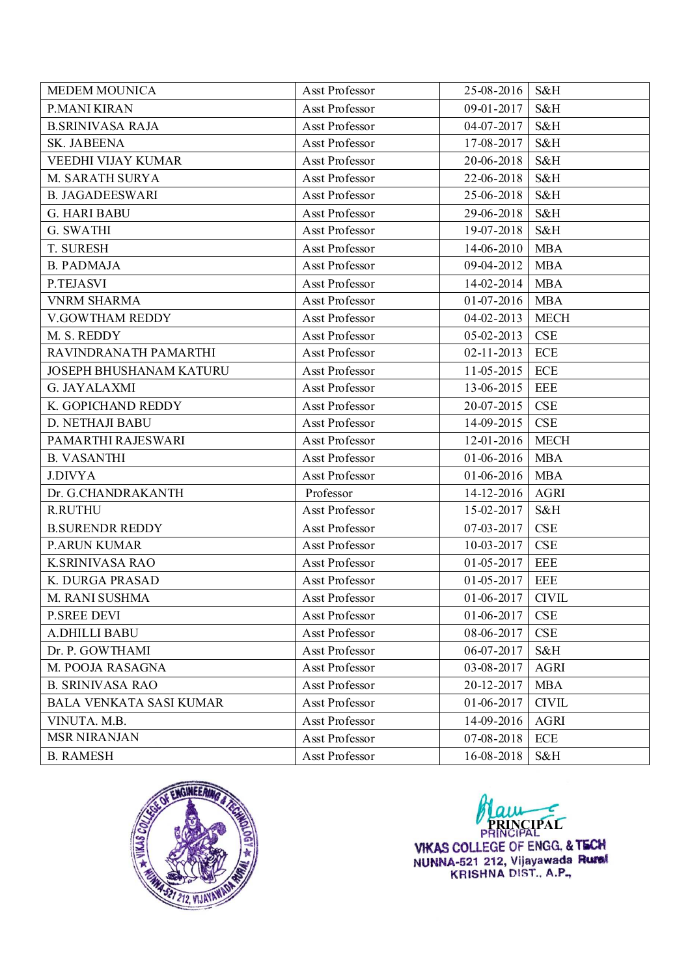| <b>MEDEM MOUNICA</b>    | Asst Professor | 25-08-2016       | S&H          |
|-------------------------|----------------|------------------|--------------|
| P.MANI KIRAN            | Asst Professor | 09-01-2017       | S&H          |
| <b>B.SRINIVASA RAJA</b> | Asst Professor | 04-07-2017       | S&H          |
| SK. JABEENA             | Asst Professor | 17-08-2017       | S&H          |
| VEEDHI VIJAY KUMAR      | Asst Professor | 20-06-2018       | S&H          |
| M. SARATH SURYA         | Asst Professor | 22-06-2018       | S&H          |
| <b>B. JAGADEESWARI</b>  | Asst Professor | 25-06-2018       | S&H          |
| <b>G. HARI BABU</b>     | Asst Professor | 29-06-2018       | S&H          |
| G. SWATHI               | Asst Professor | 19-07-2018       | S&H          |
| T. SURESH               | Asst Professor | 14-06-2010       | <b>MBA</b>   |
| <b>B. PADMAJA</b>       | Asst Professor | 09-04-2012       | <b>MBA</b>   |
| P.TEJASVI               | Asst Professor | 14-02-2014       | <b>MBA</b>   |
| <b>VNRM SHARMA</b>      | Asst Professor | 01-07-2016       | <b>MBA</b>   |
| V.GOWTHAM REDDY         | Asst Professor | $04 - 02 - 2013$ | <b>MECH</b>  |
| M. S. REDDY             | Asst Professor | $05 - 02 - 2013$ | CSE          |
| RAVINDRANATH PAMARTHI   | Asst Professor | $02 - 11 - 2013$ | ECE          |
| JOSEPH BHUSHANAM KATURU | Asst Professor | 11-05-2015       | ECE          |
| <b>G. JAYALAXMI</b>     | Asst Professor | 13-06-2015       | <b>EEE</b>   |
| K. GOPICHAND REDDY      | Asst Professor | 20-07-2015       | CSE          |
| D. NETHAJI BABU         | Asst Professor | 14-09-2015       | <b>CSE</b>   |
| PAMARTHI RAJESWARI      | Asst Professor | 12-01-2016       | <b>MECH</b>  |
| <b>B. VASANTHI</b>      | Asst Professor | $01-06-2016$     | <b>MBA</b>   |
| <b>J.DIVYA</b>          | Asst Professor | $01-06-2016$     | <b>MBA</b>   |
| Dr. G.CHANDRAKANTH      | Professor      | 14-12-2016       | <b>AGRI</b>  |
| <b>R.RUTHU</b>          | Asst Professor | 15-02-2017       | S&H          |
| <b>B.SURENDR REDDY</b>  | Asst Professor | 07-03-2017       | CSE          |
| <b>P.ARUN KUMAR</b>     | Asst Professor | 10-03-2017       | <b>CSE</b>   |
| <b>K.SRINIVASA RAO</b>  | Asst Professor | 01-05-2017       | <b>EEE</b>   |
| K. DURGA PRASAD         | Asst Professor | 01-05-2017       | <b>EEE</b>   |
| M. RANI SUSHMA          | Asst Professor | $01-06-2017$     | <b>CIVIL</b> |
| <b>P.SREE DEVI</b>      | Asst Professor | 01-06-2017       | CSE          |
| <b>A.DHILLI BABU</b>    | Asst Professor | 08-06-2017       | CSE          |
| Dr. P. GOWTHAMI         | Asst Professor | 06-07-2017       | S&H          |
| M. POOJA RASAGNA        | Asst Professor | 03-08-2017       | <b>AGRI</b>  |
| <b>B. SRINIVASA RAO</b> | Asst Professor | 20-12-2017       | <b>MBA</b>   |
| BALA VENKATA SASI KUMAR | Asst Professor | 01-06-2017       | <b>CIVIL</b> |
| VINUTA. M.B.            | Asst Professor | 14-09-2016       | <b>AGRI</b>  |
| <b>MSR NIRANJAN</b>     | Asst Professor | 07-08-2018       | ECE          |
| <b>B. RAMESH</b>        | Asst Professor | 16-08-2018       | S&H          |



**PRINCIPAL**<br>**VIKAS COLLEGE OF ENGG. & TECH**<br>NUNNA-521 212, Vijayawada Rumal<br>KRISHNA DIST., A.P.,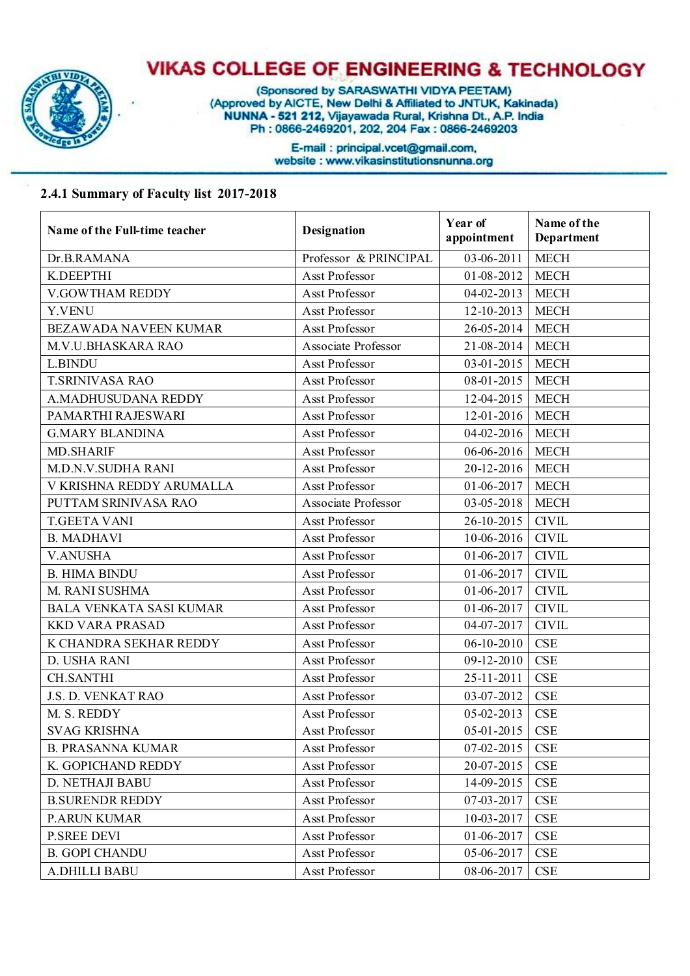

(Sponsored by SARASWATHI VIDYA PEETAM)<br>(Approved by AICTE, New Delhi & Affiliated to JNTUK, Kakinada)<br>NUNNA - 521 212, Vijayawada Rural, Krishna Dt., A.P. India Ph: 0866-2469201, 202, 204 Fax: 0866-2469203

> E-mail: principal.vcet@gmail.com, website: www.vikasinstitutionsnunna.org

#### **2.4.1 Summary of Faculty list 2017-2018**

| Name of the Full-time teacher  | <b>Designation</b>    | Year of<br>appointment | Name of the<br>Department |
|--------------------------------|-----------------------|------------------------|---------------------------|
| Dr.B.RAMANA                    | Professor & PRINCIPAL | 03-06-2011             | <b>MECH</b>               |
| K.DEEPTHI                      | Asst Professor        | 01-08-2012             | <b>MECH</b>               |
| V.GOWTHAM REDDY                | Asst Professor        | $04 - 02 - 2013$       | <b>MECH</b>               |
| Y.VENU                         | Asst Professor        | 12-10-2013             | <b>MECH</b>               |
| <b>BEZAWADA NAVEEN KUMAR</b>   | Asst Professor        | 26-05-2014             | <b>MECH</b>               |
| M.V.U.BHASKARA RAO             | Associate Professor   | 21-08-2014             | <b>MECH</b>               |
| L.BINDU                        | Asst Professor        | $03-01-2015$           | <b>MECH</b>               |
| <b>T.SRINIVASA RAO</b>         | Asst Professor        | 08-01-2015             | <b>MECH</b>               |
| A.MADHUSUDANA REDDY            | Asst Professor        | 12-04-2015             | <b>MECH</b>               |
| PAMARTHI RAJESWARI             | Asst Professor        | 12-01-2016             | <b>MECH</b>               |
| <b>G.MARY BLANDINA</b>         | Asst Professor        | $04-02-2016$           | <b>MECH</b>               |
| <b>MD.SHARIF</b>               | Asst Professor        | $06-06-2016$           | <b>MECH</b>               |
| <b>M.D.N.V.SUDHA RANI</b>      | Asst Professor        | $20-12-2016$           | <b>MECH</b>               |
| V KRISHNA REDDY ARUMALLA       | Asst Professor        | 01-06-2017             | <b>MECH</b>               |
| PUTTAM SRINIVASA RAO           | Associate Professor   | $03 - 05 - 2018$       | <b>MECH</b>               |
| <b>T.GEETA VANI</b>            | Asst Professor        | 26-10-2015             | <b>CIVIL</b>              |
| <b>B. MADHAVI</b>              | Asst Professor        | $10-06-2016$           | <b>CIVIL</b>              |
| <b>V.ANUSHA</b>                | Asst Professor        | 01-06-2017             | <b>CIVIL</b>              |
| <b>B. HIMA BINDU</b>           | Asst Professor        | 01-06-2017             | <b>CIVIL</b>              |
| M. RANI SUSHMA                 | Asst Professor        | 01-06-2017             | <b>CIVIL</b>              |
| <b>BALA VENKATA SASI KUMAR</b> | Asst Professor        | 01-06-2017             | <b>CIVIL</b>              |
| <b>KKD VARA PRASAD</b>         | Asst Professor        | 04-07-2017             | <b>CIVIL</b>              |
| K CHANDRA SEKHAR REDDY         | Asst Professor        | 06-10-2010             | <b>CSE</b>                |
| D. USHA RANI                   | Asst Professor        | 09-12-2010             | <b>CSE</b>                |
| <b>CH.SANTHI</b>               | Asst Professor        | 25-11-2011             | <b>CSE</b>                |
| J.S. D. VENKAT RAO             | Asst Professor        | 03-07-2012             | <b>CSE</b>                |
| M. S. REDDY                    | Asst Professor        | 05-02-2013             | <b>CSE</b>                |
| <b>SVAG KRISHNA</b>            | Asst Professor        | 05-01-2015   CSE       |                           |
| <b>B. PRASANNA KUMAR</b>       | Asst Professor        | 07-02-2015             | <b>CSE</b>                |
| K. GOPICHAND REDDY             | Asst Professor        | 20-07-2015             | CSE                       |
| D. NETHAJI BABU                | Asst Professor        | 14-09-2015             | CSE                       |
| <b>B.SURENDR REDDY</b>         | Asst Professor        | 07-03-2017             | <b>CSE</b>                |
| <b>P.ARUN KUMAR</b>            | Asst Professor        | 10-03-2017             | <b>CSE</b>                |
| <b>P.SREE DEVI</b>             | Asst Professor        | 01-06-2017             | <b>CSE</b>                |
| <b>B. GOPI CHANDU</b>          | Asst Professor        | 05-06-2017             | <b>CSE</b>                |
| A.DHILLI BABU                  | Asst Professor        | 08-06-2017             | <b>CSE</b>                |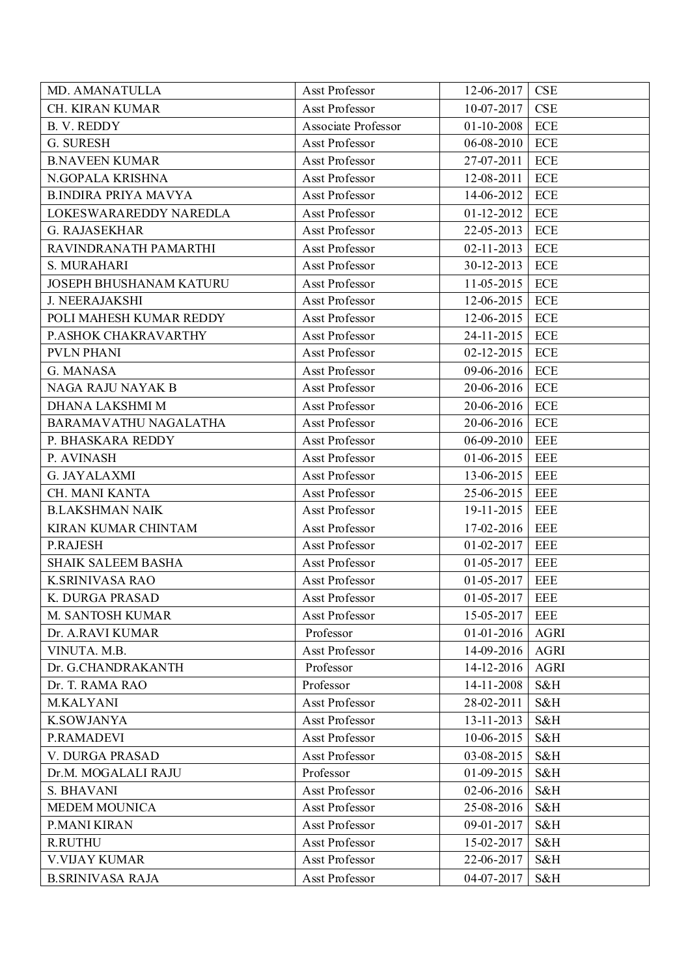| MD. AMANATULLA              | Asst Professor      | 12-06-2017       | <b>CSE</b>  |
|-----------------------------|---------------------|------------------|-------------|
| CH. KIRAN KUMAR             | Asst Professor      | $10-07-2017$     | <b>CSE</b>  |
| <b>B. V. REDDY</b>          | Associate Professor | 01-10-2008       | ECE         |
| G. SURESH                   | Asst Professor      | $06 - 08 - 2010$ | ECE         |
| <b>B.NAVEEN KUMAR</b>       | Asst Professor      | 27-07-2011       | ECE         |
| N.GOPALA KRISHNA            | Asst Professor      | 12-08-2011       | ECE         |
| <b>B.INDIRA PRIYA MAVYA</b> | Asst Professor      | 14-06-2012       | <b>ECE</b>  |
| LOKESWARAREDDY NAREDLA      | Asst Professor      | $01-12-2012$     | <b>ECE</b>  |
| <b>G. RAJASEKHAR</b>        | Asst Professor      | 22-05-2013       | ECE         |
| RAVINDRANATH PAMARTHI       | Asst Professor      | $02 - 11 - 2013$ | <b>ECE</b>  |
| S. MURAHARI                 | Asst Professor      | $30-12-2013$     | ECE         |
| JOSEPH BHUSHANAM KATURU     | Asst Professor      | $11-05-2015$     | <b>ECE</b>  |
| <b>J. NEERAJAKSHI</b>       | Asst Professor      | 12-06-2015       | ECE         |
| POLI MAHESH KUMAR REDDY     | Asst Professor      | 12-06-2015       | <b>ECE</b>  |
| P.ASHOK CHAKRAVARTHY        | Asst Professor      | 24-11-2015       | ECE         |
| <b>PVLN PHANI</b>           | Asst Professor      | $02 - 12 - 2015$ | <b>ECE</b>  |
| G. MANASA                   | Asst Professor      | 09-06-2016       | ECE         |
| NAGA RAJU NAYAK B           | Asst Professor      | 20-06-2016       | ECE         |
| DHANA LAKSHMI M             | Asst Professor      | 20-06-2016       | ECE         |
| BARAMAVATHU NAGALATHA       | Asst Professor      | 20-06-2016       | ECE         |
| P. BHASKARA REDDY           | Asst Professor      | $06 - 09 - 2010$ | EEE         |
| P. AVINASH                  | Asst Professor      | 01-06-2015       | EEE         |
| <b>G. JAYALAXMI</b>         | Asst Professor      | 13-06-2015       | EEE         |
| CH. MANI KANTA              | Asst Professor      | 25-06-2015       | <b>EEE</b>  |
| <b>B.LAKSHMAN NAIK</b>      | Asst Professor      | 19-11-2015       | EEE         |
| KIRAN KUMAR CHINTAM         | Asst Professor      | $17 - 02 - 2016$ | <b>EEE</b>  |
| P.RAJESH                    | Asst Professor      | $01 - 02 - 2017$ | <b>EEE</b>  |
| <b>SHAIK SALEEM BASHA</b>   | Asst Professor      | $01 - 05 - 2017$ | <b>EEE</b>  |
| <b>K.SRINIVASA RAO</b>      | Asst Professor      | $01 - 05 - 2017$ | <b>EEE</b>  |
| K. DURGA PRASAD             | Asst Professor      | $01 - 05 - 2017$ | <b>EEE</b>  |
| M. SANTOSH KUMAR            | Asst Professor      | 15-05-2017       | EEE         |
| Dr. A.RAVI KUMAR            | Professor           | $01 - 01 - 2016$ | <b>AGRI</b> |
| VINUTA. M.B.                | Asst Professor      | 14-09-2016       | <b>AGRI</b> |
| Dr. G.CHANDRAKANTH          | Professor           | 14-12-2016       | <b>AGRI</b> |
| Dr. T. RAMA RAO             | Professor           | 14-11-2008       | S&H         |
| M.KALYANI                   | Asst Professor      | 28-02-2011       | S&H         |
| <b>K.SOWJANYA</b>           | Asst Professor      | 13-11-2013       | S&H         |
| P.RAMADEVI                  | Asst Professor      | 10-06-2015       | S&H         |
| V. DURGA PRASAD             | Asst Professor      | 03-08-2015       | S&H         |
| Dr.M. MOGALALI RAJU         | Professor           | 01-09-2015       | S&H         |
| S. BHAVANI                  | Asst Professor      | 02-06-2016       | S&H         |
| <b>MEDEM MOUNICA</b>        | Asst Professor      | 25-08-2016       | S&H         |
| P.MANI KIRAN                | Asst Professor      | 09-01-2017       | S&H         |
| <b>R.RUTHU</b>              | Asst Professor      | 15-02-2017       | S&H         |
| <b>V.VIJAY KUMAR</b>        | Asst Professor      | 22-06-2017       | S&H         |
| <b>B.SRINIVASA RAJA</b>     | Asst Professor      | 04-07-2017       | S&H         |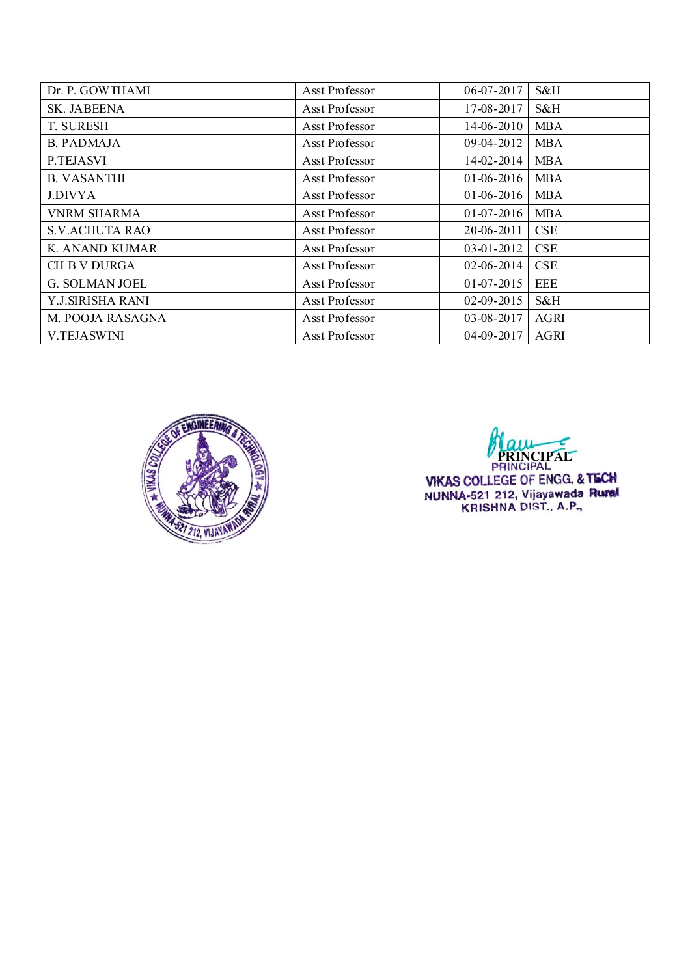| Dr. P. GOWTHAMI       | Asst Professor | $06 - 07 - 2017$ | S&H        |
|-----------------------|----------------|------------------|------------|
| SK. JABEENA           | Asst Professor | 17-08-2017       | S&H        |
| <b>T. SURESH</b>      | Asst Professor | 14-06-2010       | <b>MBA</b> |
| <b>B. PADMAJA</b>     | Asst Professor | 09-04-2012       | <b>MBA</b> |
| P.TEJASVI             | Asst Professor | 14-02-2014       | <b>MBA</b> |
| <b>B. VASANTHI</b>    | Asst Professor | $01-06-2016$     | <b>MBA</b> |
| <b>J.DIVYA</b>        | Asst Professor | $01-06-2016$     | <b>MBA</b> |
| <b>VNRM SHARMA</b>    | Asst Professor | $01-07-2016$     | <b>MBA</b> |
| <b>S.V.ACHUTA RAO</b> | Asst Professor | 20-06-2011       | <b>CSE</b> |
| K. ANAND KUMAR        | Asst Professor | 03-01-2012       | <b>CSE</b> |
| <b>CH B V DURGA</b>   | Asst Professor | $02-06-2014$     | <b>CSE</b> |
| <b>G. SOLMAN JOEL</b> | Asst Professor | $01-07-2015$     | EEE        |
| Y.J.SIRISHA RANI      | Asst Professor | $02 - 09 - 2015$ | S&H        |
| M. POOJA RASAGNA      | Asst Professor | 03-08-2017       | AGRI       |
| <b>V.TEJASWINI</b>    | Asst Professor | 04-09-2017       | AGRI       |



**PRINCIPAL**<br>PRINCIPAL VIKAS COLLEGE OF ENGG. & TECH<br>NUNNA-521 212, Vijayawada Runsi<br>KRISHNA DIST., A.P.,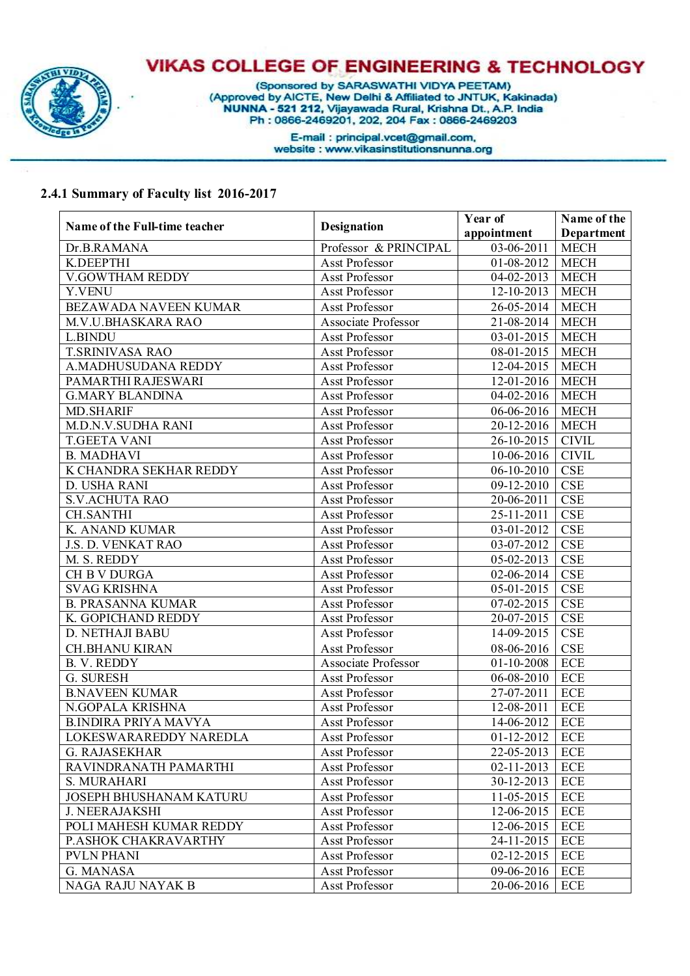

(Sponsored by SARASWATHI VIDYA PEETAM)<br>(Approved by AICTE, New Delhi & Affiliated to JNTUK, Kakinada)<br>NUNNA - 521 212, Vijayawada Rural, Krishna Dt., A.P. India<br>Ph : 0866-2469201, 202, 204 Fax : 0866-2469203

E-mail : principal.vcet@gmail.com,<br>website : www.vikasinstitutionsnunna.org

#### **2.4.1 Summary of Faculty list 2016-2017**

|                               |                            | Year of      | Name of the             |
|-------------------------------|----------------------------|--------------|-------------------------|
| Name of the Full-time teacher | <b>Designation</b>         | appointment  | Department              |
| Dr.B.RAMANA                   | Professor & PRINCIPAL      | 03-06-2011   | <b>MECH</b>             |
| K.DEEPTHI                     | Asst Professor             | 01-08-2012   | <b>MECH</b>             |
| <b>V.GOWTHAM REDDY</b>        | Asst Professor             | 04-02-2013   | <b>MECH</b>             |
| Y.VENU                        | Asst Professor             | 12-10-2013   | <b>MECH</b>             |
| BEZAWADA NAVEEN KUMAR         | Asst Professor             | 26-05-2014   | <b>MECH</b>             |
| M.V.U.BHASKARA RAO            | Associate Professor        | 21-08-2014   | <b>MECH</b>             |
| L.BINDU                       | Asst Professor             | 03-01-2015   | <b>MECH</b>             |
| <b>T.SRINIVASA RAO</b>        | Asst Professor             | 08-01-2015   | <b>MECH</b>             |
| A.MADHUSUDANA REDDY           | Asst Professor             | 12-04-2015   | <b>MECH</b>             |
| PAMARTHI RAJESWARI            | Asst Professor             | 12-01-2016   | <b>MECH</b>             |
| <b>G.MARY BLANDINA</b>        | Asst Professor             | 04-02-2016   | <b>MECH</b>             |
| <b>MD.SHARIF</b>              | Asst Professor             | 06-06-2016   | <b>MECH</b>             |
| M.D.N.V.SUDHA RANI            | <b>Asst Professor</b>      | 20-12-2016   | <b>MECH</b>             |
| <b>T.GEETA VANI</b>           | Asst Professor             | 26-10-2015   | <b>CIVIL</b>            |
| <b>B. MADHAVI</b>             | <b>Asst Professor</b>      | 10-06-2016   | <b>CIVIL</b>            |
| K CHANDRA SEKHAR REDDY        | Asst Professor             | $06-10-2010$ | <b>CSE</b>              |
| D. USHA RANI                  | <b>Asst Professor</b>      | 09-12-2010   | <b>CSE</b>              |
| <b>S.V.ACHUTA RAO</b>         | Asst Professor             | 20-06-2011   | $\overline{\text{CSE}}$ |
| <b>CH.SANTHI</b>              | <b>Asst Professor</b>      | 25-11-2011   | <b>CSE</b>              |
| K. ANAND KUMAR                | Asst Professor             | 03-01-2012   | <b>CSE</b>              |
| J.S. D. VENKAT RAO            | Asst Professor             | 03-07-2012   | <b>CSE</b>              |
| M. S. REDDY                   | Asst Professor             | 05-02-2013   | <b>CSE</b>              |
| CH B V DURGA                  | Asst Professor             | 02-06-2014   | <b>CSE</b>              |
| <b>SVAG KRISHNA</b>           | Asst Professor             | 05-01-2015   | <b>CSE</b>              |
| <b>B. PRASANNA KUMAR</b>      | Asst Professor             | 07-02-2015   | $\overline{\text{CSE}}$ |
| K. GOPICHAND REDDY            | Asst Professor             | 20-07-2015   | <b>CSE</b>              |
| D. NETHAJI BABU               | Asst Professor             | 14-09-2015   | <b>CSE</b>              |
| <b>CH.BHANU KIRAN</b>         | Asst Professor             | 08-06-2016   | <b>CSE</b>              |
| <b>B. V. REDDY</b>            | <b>Associate Professor</b> | 01-10-2008   | <b>ECE</b>              |
| G. SURESH                     | <b>Asst Professor</b>      | 06-08-2010   | <b>ECE</b>              |
| <b>B.NAVEEN KUMAR</b>         | Asst Professor             | 27-07-2011   | <b>ECE</b>              |
| N.GOPALA KRISHNA              | Asst Professor             | 12-08-2011   | <b>ECE</b>              |
| <b>B.INDIRA PRIYA MAVYA</b>   | Asst Professor             | 14-06-2012   | <b>ECE</b>              |
| LOKESWARAREDDY NAREDLA        | Asst Professor             | 01-12-2012   | <b>ECE</b>              |
| <b>G. RAJASEKHAR</b>          | Asst Professor             | 22-05-2013   | <b>ECE</b>              |
| RAVINDRANATH PAMARTHI         | Asst Professor             | 02-11-2013   | <b>ECE</b>              |
| S. MURAHARI                   | Asst Professor             | 30-12-2013   | <b>ECE</b>              |
| JOSEPH BHUSHANAM KATURU       | Asst Professor             | 11-05-2015   | <b>ECE</b>              |
| <b>J. NEERAJAKSHI</b>         | Asst Professor             | 12-06-2015   | <b>ECE</b>              |
| POLI MAHESH KUMAR REDDY       | Asst Professor             | 12-06-2015   | <b>ECE</b>              |
| P.ASHOK CHAKRAVARTHY          | Asst Professor             | 24-11-2015   | ECE                     |
| <b>PVLN PHANI</b>             | Asst Professor             | 02-12-2015   | ECE                     |
| G. MANASA                     | Asst Professor             | 09-06-2016   | ECE                     |
| NAGA RAJU NAYAK B             | Asst Professor             | 20-06-2016   | ECE                     |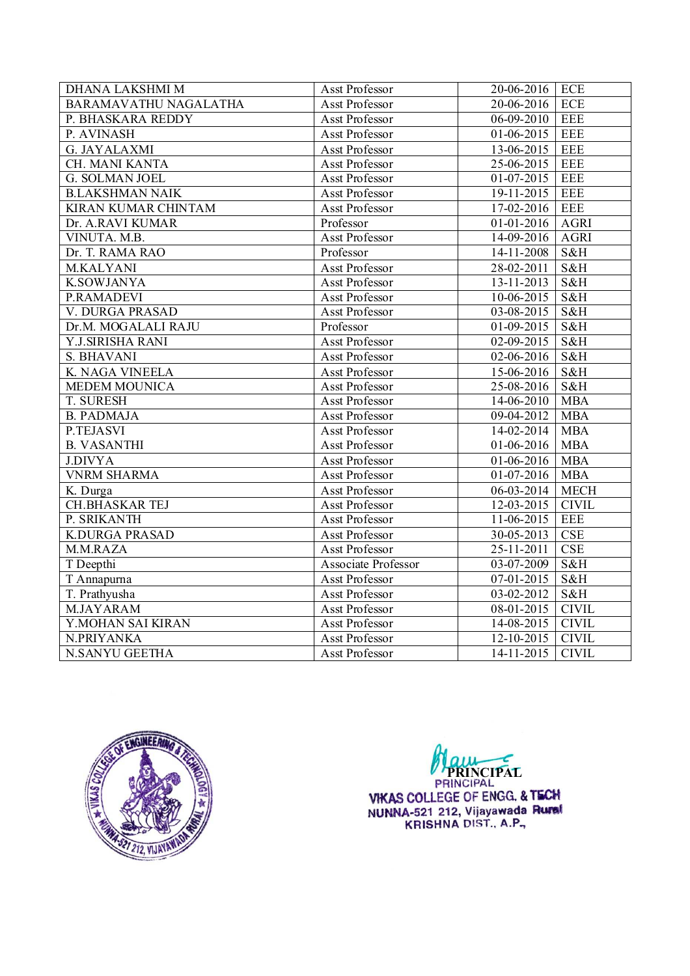| DHANA LAKSHMI M        | Asst Professor        | 20-06-2016               | ECE          |
|------------------------|-----------------------|--------------------------|--------------|
| BARAMAVATHU NAGALATHA  | Asst Professor        | 20-06-2016               | <b>ECE</b>   |
| P. BHASKARA REDDY      | Asst Professor        | 06-09-2010               | <b>EEE</b>   |
| P. AVINASH             | Asst Professor        | $01-06-2015$             | <b>EEE</b>   |
| <b>G. JAYALAXMI</b>    | Asst Professor        | 13-06-2015               | <b>EEE</b>   |
| CH. MANI KANTA         | Asst Professor        | 25-06-2015               | <b>EEE</b>   |
| <b>G. SOLMAN JOEL</b>  | Asst Professor        | 01-07-2015               | <b>EEE</b>   |
| <b>B.LAKSHMAN NAIK</b> | Asst Professor        | 19-11-2015               | <b>EEE</b>   |
| KIRAN KUMAR CHINTAM    | Asst Professor        | 17-02-2016               | <b>EEE</b>   |
| Dr. A.RAVI KUMAR       | Professor             | $01-01-2016$             | <b>AGRI</b>  |
| VINUTA. M.B.           | Asst Professor        | 14-09-2016               | <b>AGRI</b>  |
| Dr. T. RAMA RAO        | Professor             | $14-11-2008$             | S&H          |
| M.KALYANI              | Asst Professor        | 28-02-2011               | S&H          |
| <b>K.SOWJANYA</b>      | Asst Professor        | $13 - 11 - 2013$         | S&H          |
| P.RAMADEVI             | Asst Professor        | 10-06-2015               | S&H          |
| V. DURGA PRASAD        | Asst Professor        | $03-08-2015$             | S&H          |
| Dr.M. MOGALALI RAJU    | Professor             | 01-09-2015               | S&H          |
| Y.J.SIRISHA RANI       | Asst Professor        | $02 - 09 - 2015$         | S&H          |
| S. BHAVANI             | Asst Professor        | 02-06-2016               | S&H          |
| K. NAGA VINEELA        | Asst Professor        | 15-06-2016               | S&H          |
| <b>MEDEM MOUNICA</b>   | Asst Professor        | 25-08-2016               | S&H          |
| T. SURESH              | Asst Professor        | 14-06-2010               | <b>MBA</b>   |
| <b>B. PADMAJA</b>      | Asst Professor        | 09-04-2012               | <b>MBA</b>   |
| P.TEJASVI              | <b>Asst Professor</b> | 14-02-2014               | <b>MBA</b>   |
| <b>B. VASANTHI</b>     | Asst Professor        | 01-06-2016               | <b>MBA</b>   |
| <b>J.DIVYA</b>         | Asst Professor        | $\overline{01-06}$ -2016 | <b>MBA</b>   |
| <b>VNRM SHARMA</b>     | Asst Professor        | $01-07-2016$             | <b>MBA</b>   |
| K. Durga               | Asst Professor        | 06-03-2014               | <b>MECH</b>  |
| <b>CH.BHASKAR TEJ</b>  | Asst Professor        | 12-03-2015               | CIVIL        |
| P. SRIKANTH            | Asst Professor        | 11-06-2015               | <b>EEE</b>   |
| <b>K.DURGA PRASAD</b>  | Asst Professor        | 30-05-2013               | CSE          |
| M.M.RAZA               | Asst Professor        | 25-11-2011               | <b>CSE</b>   |
| T Deepthi              | Associate Professor   | 03-07-2009               | S&H          |
| T Annapurna            | Asst Professor        | 07-01-2015               | S&H          |
| T. Prathyusha          | Asst Professor        | 03-02-2012               | S&H          |
| M.JAYARAM              | Asst Professor        | 08-01-2015               | <b>CIVIL</b> |
| Y.MOHAN SAI KIRAN      | Asst Professor        | 14-08-2015               | <b>CIVIL</b> |
| N.PRIYANKA             | Asst Professor        | $12 - 10 - 2015$         | <b>CIVIL</b> |
| N.SANYU GEETHA         | Asst Professor        | $14 - 11 - 2015$         | <b>CIVIL</b> |



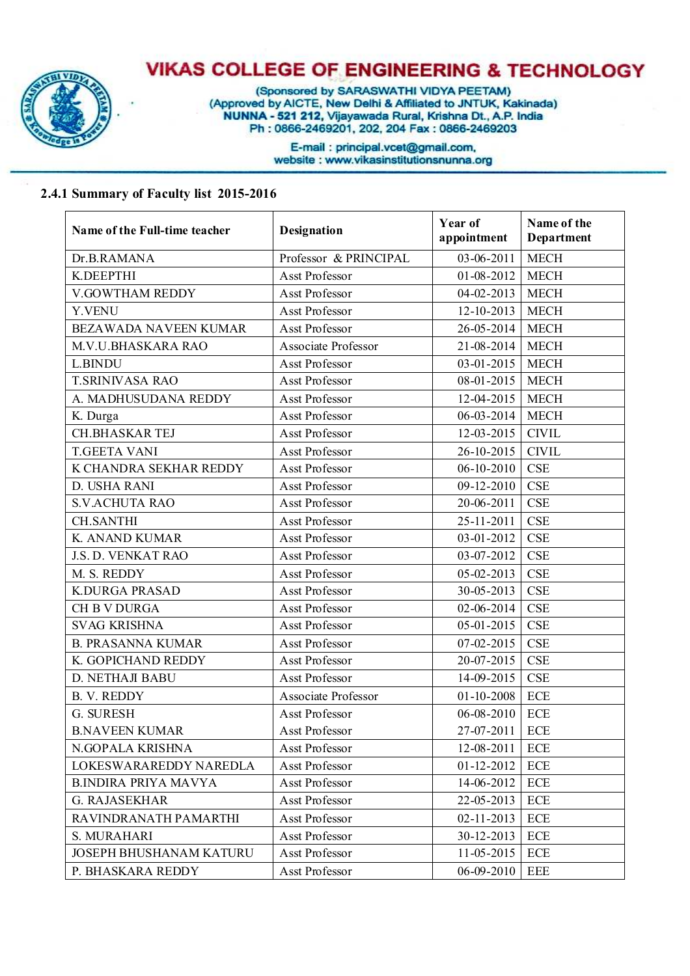

(Sponsored by SARASWATHI VIDYA PEETAM)<br>(Approved by AICTE, New Delhi & Affiliated to JNTUK, Kakinada)<br>NUNNA - 521 212, Vijayawada Rural, Krishna Dt., A.P. India Ph: 0866-2469201, 202, 204 Fax: 0866-2469203

> E-mail: principal.vcet@gmail.com, website : www.vikasinstitutionsnunna.org

#### **2.4.1 Summary of Faculty list 2015-2016**

| Name of the Full-time teacher  | Designation                | Year of<br>appointment | Name of the<br>Department |
|--------------------------------|----------------------------|------------------------|---------------------------|
| Dr.B.RAMANA                    | Professor & PRINCIPAL      | $03 - 06 - 2011$       | <b>MECH</b>               |
| K.DEEPTHI                      | <b>Asst Professor</b>      | 01-08-2012             | <b>MECH</b>               |
| V.GOWTHAM REDDY                | Asst Professor             | $04 - 02 - 2013$       | <b>MECH</b>               |
| Y.VENU                         | Asst Professor             | 12-10-2013             | <b>MECH</b>               |
| BEZAWADA NAVEEN KUMAR          | Asst Professor             | 26-05-2014             | <b>MECH</b>               |
| M.V.U.BHASKARA RAO             | <b>Associate Professor</b> | $21 - 08 - 2014$       | <b>MECH</b>               |
| L.BINDU                        | Asst Professor             | $03 - 01 - 2015$       | <b>MECH</b>               |
| <b>T.SRINIVASA RAO</b>         | Asst Professor             | $08 - 01 - 2015$       | <b>MECH</b>               |
| A. MADHUSUDANA REDDY           | Asst Professor             | 12-04-2015             | <b>MECH</b>               |
| K. Durga                       | Asst Professor             | $06 - 03 - 2014$       | <b>MECH</b>               |
| <b>CH.BHASKAR TEJ</b>          | Asst Professor             | 12-03-2015             | <b>CIVIL</b>              |
| <b>T.GEETA VANI</b>            | Asst Professor             | 26-10-2015             | <b>CIVIL</b>              |
| K CHANDRA SEKHAR REDDY         | Asst Professor             | $06 - 10 - 2010$       | <b>CSE</b>                |
| D. USHA RANI                   | Asst Professor             | 09-12-2010             | <b>CSE</b>                |
| <b>S.V.ACHUTA RAO</b>          | Asst Professor             | 20-06-2011             | <b>CSE</b>                |
| <b>CH.SANTHI</b>               | Asst Professor             | 25-11-2011             | <b>CSE</b>                |
| K. ANAND KUMAR                 | Asst Professor             | 03-01-2012             | <b>CSE</b>                |
| J.S. D. VENKAT RAO             | Asst Professor             | 03-07-2012             | <b>CSE</b>                |
| M. S. REDDY                    | Asst Professor             | $05 - 02 - 2013$       | <b>CSE</b>                |
| <b>K.DURGA PRASAD</b>          | Asst Professor             | 30-05-2013             | <b>CSE</b>                |
| <b>CH B V DURGA</b>            | Asst Professor             | 02-06-2014             | <b>CSE</b>                |
| <b>SVAG KRISHNA</b>            | Asst Professor             | $05 - 01 - 2015$       | CSE                       |
| <b>B. PRASANNA KUMAR</b>       | Asst Professor             | $07 - 02 - 2015$       | <b>CSE</b>                |
| K. GOPICHAND REDDY             | Asst Professor             | 20-07-2015             | <b>CSE</b>                |
| D. NETHAJI BABU                | Asst Professor             | 14-09-2015             | <b>CSE</b>                |
| <b>B. V. REDDY</b>             | Associate Professor        | $01 - 10 - 2008$       | <b>ECE</b>                |
| G. SURESH                      | <b>Asst Professor</b>      | 06-08-2010             | <b>ECE</b>                |
| <b>B.NAVEEN KUMAR</b>          | Asst Professor             | 27-07-2011 ECE         |                           |
| N.GOPALA KRISHNA               | Asst Professor             | 12-08-2011             | <b>ECE</b>                |
| LOKESWARAREDDY NAREDLA         | <b>Asst Professor</b>      | $01 - 12 - 2012$       | <b>ECE</b>                |
| <b>B.INDIRA PRIYA MAVYA</b>    | Asst Professor             | 14-06-2012             | <b>ECE</b>                |
| <b>G. RAJASEKHAR</b>           | Asst Professor             | 22-05-2013             | <b>ECE</b>                |
| RAVINDRANATH PAMARTHI          | Asst Professor             | $02 - 11 - 2013$       | <b>ECE</b>                |
| S. MURAHARI                    | Asst Professor             | 30-12-2013             | <b>ECE</b>                |
| <b>JOSEPH BHUSHANAM KATURU</b> | Asst Professor             | 11-05-2015             | <b>ECE</b>                |
| P. BHASKARA REDDY              | Asst Professor             | 06-09-2010             | <b>EEE</b>                |